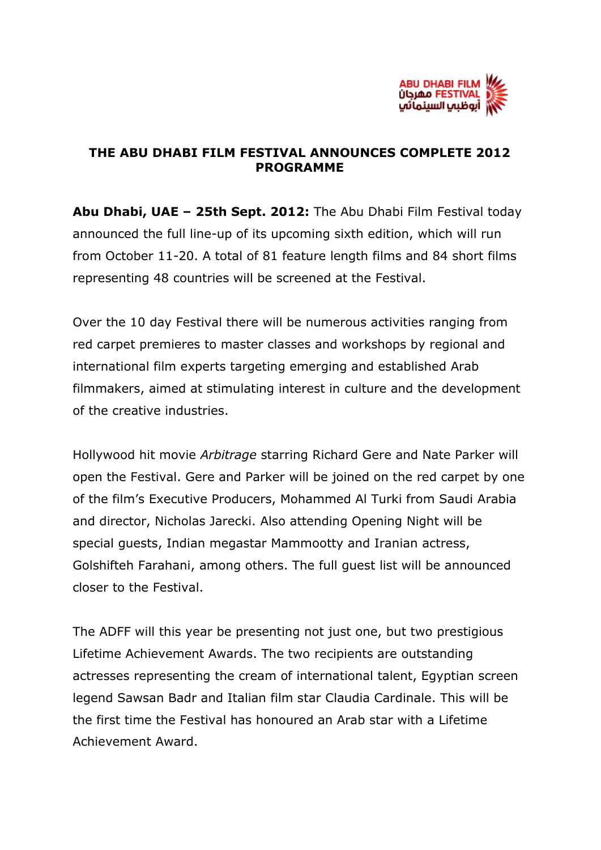

## **THE ABU DHABI FILM FESTIVAL ANNOUNCES COMPLETE 2012 PROGRAMME**

**Abu Dhabi, UAE – 25th Sept. 2012:** The Abu Dhabi Film Festival today announced the full line-up of its upcoming sixth edition, which will run from October 11-20. A total of 81 feature length films and 84 short films representing 48 countries will be screened at the Festival.

Over the 10 day Festival there will be numerous activities ranging from red carpet premieres to master classes and workshops by regional and international film experts targeting emerging and established Arab filmmakers, aimed at stimulating interest in culture and the development of the creative industries.

Hollywood hit movie *Arbitrage* starring Richard Gere and Nate Parker will open the Festival. Gere and Parker will be joined on the red carpet by one of the film's Executive Producers, Mohammed Al Turki from Saudi Arabia and director, Nicholas Jarecki. Also attending Opening Night will be special guests, Indian megastar Mammootty and Iranian actress, Golshifteh Farahani, among others. The full guest list will be announced closer to the Festival.

The ADFF will this year be presenting not just one, but two prestigious Lifetime Achievement Awards. The two recipients are outstanding actresses representing the cream of international talent, Egyptian screen legend Sawsan Badr and Italian film star Claudia Cardinale. This will be the first time the Festival has honoured an Arab star with a Lifetime Achievement Award.